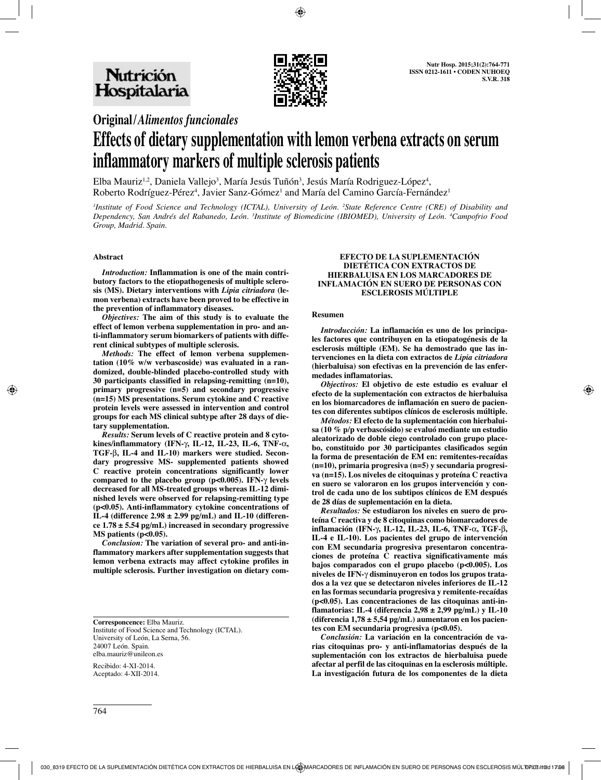

# **Original/***Alimentos funcionales*

# **Effects of dietary supplementation with lemon verbena extracts on serum inflammatory markers of multiple sclerosis patients**

Elba Mauriz<sup>1,2</sup>, Daniela Vallejo<sup>3</sup>, María Jesús Tuñón<sup>3</sup>, Jesús María Rodriguez-López<sup>4</sup>, Roberto Rodríguez-Pérez<sup>4</sup>, Javier Sanz-Gómez<sup>1</sup> and María del Camino García-Fernández<sup>1</sup>

<sup>*Institute of Food Science and Technology (ICTAL), University of León. <sup>2</sup>State Reference Centre (CRE) of Disability and</sup> Dependency, San Andrés del Rabanedo, León. 3 Institute of Biomedicine (IBIOMED), University of León. 4 Campofrio Food Group, Madrid. Spain.*

#### **Abstract**

*Introduction:* **Inflammation is one of the main contributory factors to the etiopathogenesis of multiple sclerosis (MS). Dietary interventions with** *Lipia citriadora* **(lemon verbena) extracts have been proved to be effective in the prevention of inflammatory diseases.** 

*Objectives:* **The aim of this study is to evaluate the effect of lemon verbena supplementation in pro- and anti-inflammatory serum biomarkers of patients with different clinical subtypes of multiple sclerosis.**

*Methods:* **The effect of lemon verbena supplementation (10% w/w verbascoside) was evaluated in a randomized, double-blinded placebo-controlled study with 30 participants classified in relapsing-remitting (n=10), primary progressive (n=5) and secondary progressive (n=15) MS presentations. Serum cytokine and C reactive protein levels were assessed in intervention and control groups for each MS clinical subtype after 28 days of dietary supplementation.**

*Results:* **Serum levels of C reactive protein and 8 cytokines/inflammatory (IFN-**γ**, IL-12, IL-23, IL-6, TNF-**α**, TGF-**β**, IL-4 and IL-10) markers were studied. Secondary progressive MS- supplemented patients showed C reactive protein concentrations significantly lower compared to the placebo group (p<0.005). IFN-**γ **levels decreased for all MS-treated groups whereas IL-12 diminished levels were observed for relapsing-remitting type (p<0.05). Anti-inflammatory cytokine concentrations of IL-4 (difference 2.98 ± 2.99 pg/mL) and IL-10 (difference 1.78 ± 5.54 pg/mL) increased in secondary progressive MS patients (p<0.05).** 

*Conclusion:* **The variation of several pro- and anti-inflammatory markers after supplementation suggests that lemon verbena extracts may affect cytokine profiles in multiple sclerosis. Further investigation on dietary com-**

**Corresponcence:** Elba Mauriz. Institute of Food Science and Technology (ICTAL). University of León, La Serna, 56. 24007 León. Spain. elba.mauriz@unileon.es

Recibido: 4-XI-2014. Aceptado: 4-XII-2014.

#### **EFECTO DE LA SUPLEMENTACIÓN DIETÉTICA CON EXTRACTOS DE HIERBALUISA EN LOS MARCADORES DE INFLAMACIÓN EN SUERO DE PERSONAS CON ESCLEROSIS MÚLTIPLE**

#### **Resumen**

*Introducción:* **La inflamación es uno de los principales factores que contribuyen en la etiopatogénesis de la esclerosis múltiple (EM). Se ha demostrado que las intervenciones en la dieta con extractos de** *Lipia citriadora* **(hierbaluisa) son efectivas en la prevención de las enfermedades inflamatorias.** 

*Objectivos:* **El objetivo de este estudio es evaluar el efecto de la suplementación con extractos de hierbaluisa en los biomarcadores de inflamación en suero de pacientes con diferentes subtipos clínicos de esclerosis múltiple.** 

*Métodos:* **El efecto de la suplementación con hierbaluisa (10 % p/p verbascósido) se evaluó mediante un estudio aleatorizado de doble ciego controlado con grupo placebo, constituido por 30 participantes clasificados según la forma de presentación de EM en: remitentes-recaídas (n=10), primaria progresiva (n=5) y secundaria progresiva (n=15). Los niveles de citoquinas y proteína C reactiva en suero se valoraron en los grupos intervención y control de cada uno de los subtipos clínicos de EM después de 28 días de suplementación en la dieta.**

*Resultados:* **Se estudiaron los niveles en suero de proteína C reactiva y de 8 citoquinas como biomarcadores de inflamación (IFN-**γ**, IL-12, IL-23, IL-6, TNF-**α**, TGF-**β**, IL-4 e IL-10). Los pacientes del grupo de intervención con EM secundaria progresiva presentaron concentraciones de proteína C reactiva significativamente más bajos comparados con el grupo placebo (p<0.005). Los niveles de IFN-**γ **disminuyeron en todos los grupos tratados a la vez que se detectaron niveles inferiores de IL-12 en las formas secundaria progresiva y remitente-recaídas (p<0.05). Las concentraciones de las citoquinas anti-inflamatorias: IL-4 (diferencia 2,98 ± 2,99 pg/mL) y IL-10 (diferencia 1,78 ± 5,54 pg/mL) aumentaron en los pacientes con EM secundaria progresiva (p<0.05).** 

*Conclusión:* **La variación en la concentración de varias citoquinas pro- y anti-inflamatorias después de la suplementación con los extractos de hierbaluisa puede afectar al perfil de las citoquinas en la esclerosis múltiple. La investigación futura de los componentes de la dieta**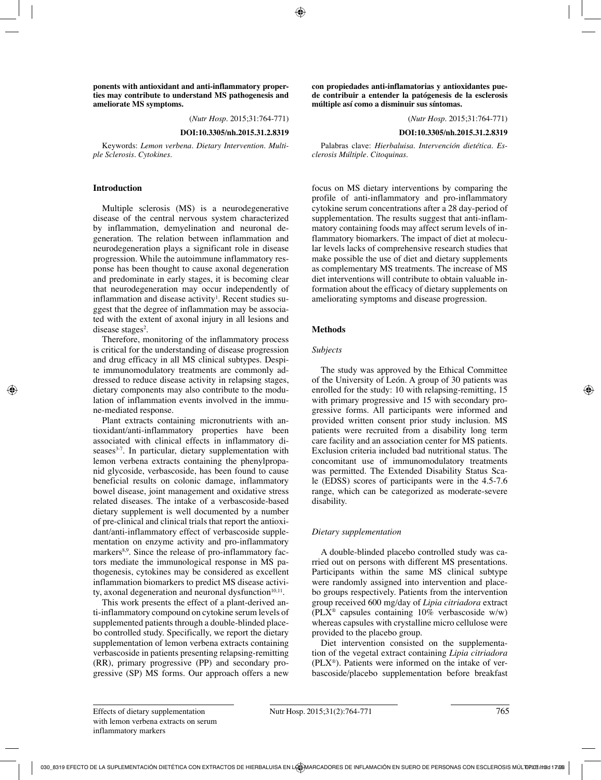**ponents with antioxidant and anti-inflammatory properties may contribute to understand MS pathogenesis and ameliorate MS symptoms.**

(*Nutr Hosp.* 2015;31:764-771)

**DOI:10.3305/nh.2015.31.2.8319**

Keywords: *Lemon verbena. Dietary Intervention. Multiple Sclerosis. Cytokines.*

### **Introduction**

Multiple sclerosis (MS) is a neurodegenerative disease of the central nervous system characterized by inflammation, demyelination and neuronal degeneration. The relation between inflammation and neurodegeneration plays a significant role in disease progression. While the autoimmune inflammatory response has been thought to cause axonal degeneration and predominate in early stages, it is becoming clear that neurodegeneration may occur independently of inflammation and disease activity<sup>1</sup>. Recent studies suggest that the degree of inflammation may be associated with the extent of axonal injury in all lesions and disease stages<sup>2</sup>.

Therefore, monitoring of the inflammatory process is critical for the understanding of disease progression and drug efficacy in all MS clinical subtypes. Despite immunomodulatory treatments are commonly addressed to reduce disease activity in relapsing stages, dietary components may also contribute to the modulation of inflammation events involved in the immune-mediated response.

Plant extracts containing micronutrients with antioxidant/anti-inflammatory properties have been associated with clinical effects in inflammatory di $seases<sup>3-7</sup>$ . In particular, dietary supplementation with lemon verbena extracts containing the phenylpropanid glycoside, verbascoside, has been found to cause beneficial results on colonic damage, inflammatory bowel disease, joint management and oxidative stress related diseases. The intake of a verbascoside-based dietary supplement is well documented by a number of pre-clinical and clinical trials that report the antioxidant/anti-inflammatory effect of verbascoside supplementation on enzyme activity and pro-inflammatory markers<sup>8,9</sup>. Since the release of pro-inflammatory factors mediate the immunological response in MS pathogenesis, cytokines may be considered as excellent inflammation biomarkers to predict MS disease activity, axonal degeneration and neuronal dysfunction $10,11$ .

This work presents the effect of a plant-derived anti-inflammatory compound on cytokine serum levels of supplemented patients through a double-blinded placebo controlled study. Specifically, we report the dietary supplementation of lemon verbena extracts containing verbascoside in patients presenting relapsing-remitting (RR), primary progressive (PP) and secondary progressive (SP) MS forms. Our approach offers a new **con propiedades anti-inflamatorias y antioxidantes puede contribuir a entender la patógenesis de la esclerosis múltiple así como a disminuir sus síntomas.**

(*Nutr Hosp.* 2015;31:764-771)

**DOI:10.3305/nh.2015.31.2.8319**

Palabras clave: *Hierbaluisa. Intervención dietética. Esclerosis Múltiple. Citoquinas.*

focus on MS dietary interventions by comparing the profile of anti-inflammatory and pro-inflammatory cytokine serum concentrations after a 28 day-period of supplementation. The results suggest that anti-inflammatory containing foods may affect serum levels of inflammatory biomarkers. The impact of diet at molecular levels lacks of comprehensive research studies that make possible the use of diet and dietary supplements as complementary MS treatments. The increase of MS diet interventions will contribute to obtain valuable information about the efficacy of dietary supplements on ameliorating symptoms and disease progression.

# **Methods**

# *Subjects*

The study was approved by the Ethical Committee of the University of León. A group of 30 patients was enrolled for the study: 10 with relapsing-remitting, 15 with primary progressive and 15 with secondary progressive forms. All participants were informed and provided written consent prior study inclusion. MS patients were recruited from a disability long term care facility and an association center for MS patients. Exclusion criteria included bad nutritional status. The concomitant use of immunomodulatory treatments was permitted. The Extended Disability Status Scale (EDSS) scores of participants were in the 4.5-7.6 range, which can be categorized as moderate-severe disability.

# *Dietary supplementation*

A double-blinded placebo controlled study was carried out on persons with different MS presentations. Participants within the same MS clinical subtype were randomly assigned into intervention and placebo groups respectively. Patients from the intervention group received 600 mg/day of *Lipia citriadora* extract (PLX® capsules containing 10% verbascoside w/w) whereas capsules with crystalline micro cellulose were provided to the placebo group.

Diet intervention consisted on the supplementation of the vegetal extract containing *Lipia citriadora* (PLX®). Patients were informed on the intake of verbascoside/placebo supplementation before breakfast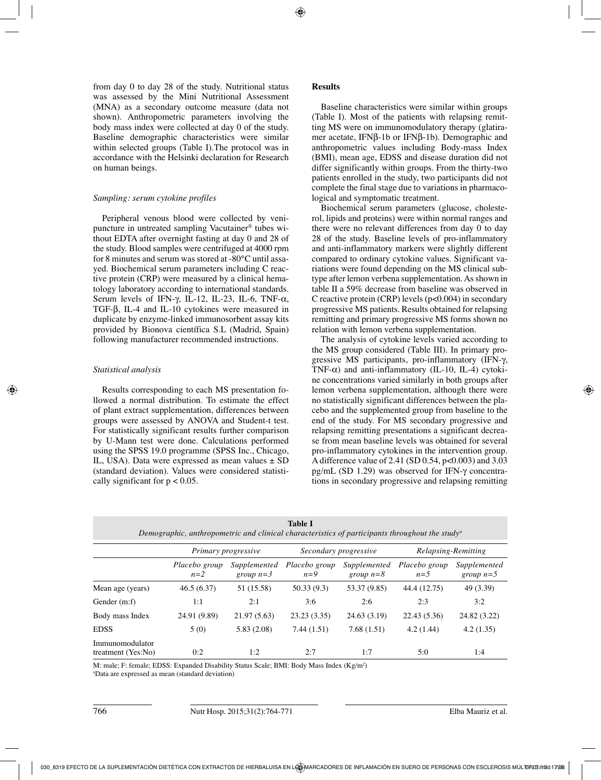from day 0 to day 28 of the study. Nutritional status was assessed by the Mini Nutritional Assessment (MNA) as a secondary outcome measure (data not shown). Anthropometric parameters involving the body mass index were collected at day 0 of the study. Baseline demographic characteristics were similar within selected groups (Table I).The protocol was in accordance with the Helsinki declaration for Research on human beings.

#### *Sampling: serum cytokine profiles*

Peripheral venous blood were collected by venipuncture in untreated sampling Vacutainer® tubes without EDTA after overnight fasting at day 0 and 28 of the study. Blood samples were centrifuged at 4000 rpm for 8 minutes and serum was stored at -80°C until assayed. Biochemical serum parameters including C reactive protein (CRP) were measured by a clinical hematology laboratory according to international standards. Serum levels of IFN-γ, IL-12, IL-23, IL-6, TNF- $α$ , TGF-β, IL-4 and IL-10 cytokines were measured in duplicate by enzyme-linked immunosorbent assay kits provided by Bionova científica S.L (Madrid, Spain) following manufacturer recommended instructions.

#### *Statistical analysis*

Results corresponding to each MS presentation followed a normal distribution. To estimate the effect of plant extract supplementation, differences between groups were assessed by ANOVA and Student-t test. For statistically significant results further comparison by U-Mann test were done. Calculations performed using the SPSS 19.0 programme (SPSS Inc., Chicago, IL, USA). Data were expressed as mean values  $\pm$  SD (standard deviation). Values were considered statistically significant for  $p < 0.05$ .

### **Results**

Baseline characteristics were similar within groups (Table I). Most of the patients with relapsing remitting MS were on immunomodulatory therapy (glatiramer acetate, IFNβ-1b or IFNβ-1b). Demographic and anthropometric values including Body-mass Index (BMI), mean age, EDSS and disease duration did not differ significantly within groups. From the thirty-two patients enrolled in the study, two participants did not complete the final stage due to variations in pharmacological and symptomatic treatment.

Biochemical serum parameters (glucose, cholesterol, lipids and proteins) were within normal ranges and there were no relevant differences from day 0 to day 28 of the study. Baseline levels of pro-inflammatory and anti-inflammatory markers were slightly different compared to ordinary cytokine values. Significant variations were found depending on the MS clinical subtype after lemon verbena supplementation. As shown in table II a 59% decrease from baseline was observed in C reactive protein (CRP) levels  $(p<0.004)$  in secondary progressive MS patients. Results obtained for relapsing remitting and primary progressive MS forms shown no relation with lemon verbena supplementation.

The analysis of cytokine levels varied according to the MS group considered (Table III). In primary progressive MS participants, pro-inflammatory (IFN-γ, TNF- $\alpha$ ) and anti-inflammatory (IL-10, IL-4) cytokine concentrations varied similarly in both groups after lemon verbena supplementation, although there were no statistically significant differences between the placebo and the supplemented group from baseline to the end of the study. For MS secondary progressive and relapsing remitting presentations a significant decrease from mean baseline levels was obtained for several pro-inflammatory cytokines in the intervention group. A difference value of 2.41 (SD 0.54, p<0.003) and 3.03 pg/mL (SD 1.29) was observed for IFN-γ concentrations in secondary progressive and relapsing remitting

|                                       | Demographic, anthropometric and clinical characteristics of participants throughout the study <sup>a</sup><br>Primary progressive |                             | Secondary progressive  |                             | Relapsing-Remitting    |                             |
|---------------------------------------|-----------------------------------------------------------------------------------------------------------------------------------|-----------------------------|------------------------|-----------------------------|------------------------|-----------------------------|
|                                       | Placebo group<br>$n=2$                                                                                                            | Supplemented<br>group $n=3$ | Placebo group<br>$n=9$ | Supplemented<br>group $n=8$ | Placebo group<br>$n=5$ | Supplemented<br>group $n=5$ |
| Mean age (years)                      | 46.5(6.37)                                                                                                                        | 51 (15.58)                  | 50.33(9.3)             | 53.37 (9.85)                | 44.4 (12.75)           | 49 (3.39)                   |
| Gender (m:f)                          | 1:1                                                                                                                               | 2:1                         | 3:6                    | 2:6                         | 2:3                    | 3:2                         |
| Body mass Index                       | 24.91 (9.89)                                                                                                                      | 21.97(5.63)                 | 23.23(3.35)            | 24.63(3.19)                 | 22.43 (5.36)           | 24.82 (3.22)                |
| <b>EDSS</b>                           | 5(0)                                                                                                                              | 5.83(2.08)                  | 7.44(1.51)             | 7.68(1.51)                  | 4.2(1.44)              | 4.2(1.35)                   |
| Immunomodulator<br>treatment (Yes:No) | 0:2                                                                                                                               | 1:2                         | 2:7                    | 1:7                         | 5:0                    | 1:4                         |

**Table I**

M: male; F: female; EDSS: Expanded Disability Status Scale; BMI: Body Mass Index (Kg/m<sup>2</sup>) a Data are expressed as mean (standard deviation)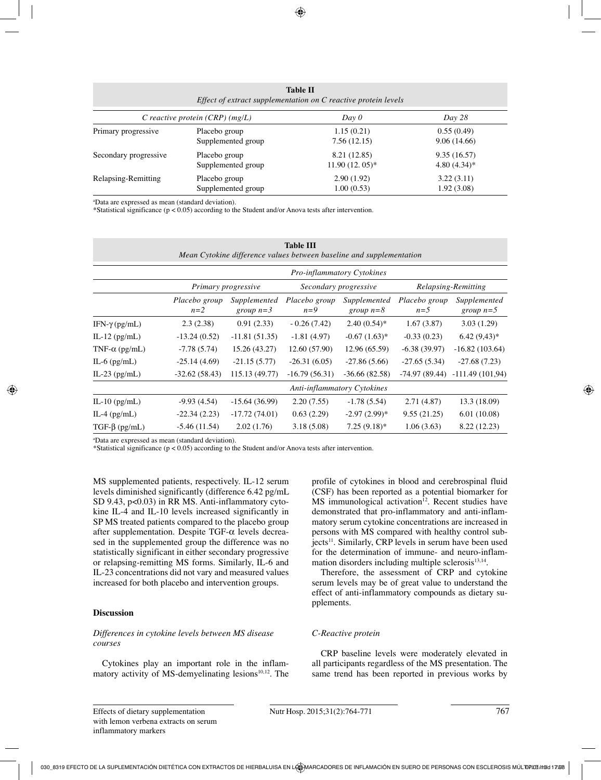| <b>Table II</b><br>Effect of extract supplementation on C reactive protein levels |                    |                  |                |  |  |  |  |
|-----------------------------------------------------------------------------------|--------------------|------------------|----------------|--|--|--|--|
| Day 0<br>C reactive protein $(CRP)$ (mg/L)                                        |                    |                  | Day 28         |  |  |  |  |
| Primary progressive                                                               | Placebo group      | 1.15(0.21)       | 0.55(0.49)     |  |  |  |  |
|                                                                                   | Supplemented group | 7.56(12.15)      | 9.06(14.66)    |  |  |  |  |
| Secondary progressive                                                             | Placebo group      | 8.21 (12.85)     | 9.35(16.57)    |  |  |  |  |
|                                                                                   | Supplemented group | $11.90(12.05)^*$ | $4.80(4.34)$ * |  |  |  |  |
| Relapsing-Remitting                                                               | Placebo group      | 2.90(1.92)       | 3.22(3.11)     |  |  |  |  |
|                                                                                   | Supplemented group | 1.00(0.53)       | 1.92 (3.08)    |  |  |  |  |

a Data are expressed as mean (standard deviation).

\*Statistical significance (p < 0.05) according to the Student and/or Anova tests after intervention.

| <b>Table III</b><br>Mean Cytokine difference values between baseline and supplementation |                                    |                             |                        |                             |                        |                             |  |  |  |
|------------------------------------------------------------------------------------------|------------------------------------|-----------------------------|------------------------|-----------------------------|------------------------|-----------------------------|--|--|--|
|                                                                                          | <b>Pro-inflammatory Cytokines</b>  |                             |                        |                             |                        |                             |  |  |  |
|                                                                                          | Primary progressive                |                             | Secondary progressive  |                             | Relapsing-Remitting    |                             |  |  |  |
|                                                                                          | Placebo group<br>$n=2$             | Supplemented<br>group $n=3$ | Placebo group<br>$n=9$ | Supplemented<br>group $n=8$ | Placebo group<br>$n=5$ | Supplemented<br>group $n=5$ |  |  |  |
| IFN-γ (pg/mL)                                                                            | 2.3(2.38)                          | 0.91(2.33)                  | $-0.26(7.42)$          | $2.40(0.54)$ *              | 1.67(3.87)             | 3.03(1.29)                  |  |  |  |
| IL-12 $(pg/mL)$                                                                          | $-13.24(0.52)$                     | $-11.81(51.35)$             | $-1.81(4.97)$          | $-0.67(1.63)*$              | $-0.33(0.23)$          | $6.42(9.43)*$               |  |  |  |
| TNF- $\alpha$ (pg/mL)                                                                    | $-7.78(5.74)$                      | 15.26 (43.27)               | 12.60 (57.90)          | 12.96 (65.59)               | $-6.38(39.97)$         | $-16.82(103.64)$            |  |  |  |
| IL-6 $(pg/mL)$                                                                           | $-25.14(4.69)$                     | $-21.15(5.77)$              | $-26.31(6.05)$         | $-27.86(5.66)$              | $-27.65(5.34)$         | $-27.68(7.23)$              |  |  |  |
| IL-23 $(pg/mL)$                                                                          | $-32.62(58.43)$                    | 115.13 (49.77)              | $-16.79(56.31)$        | $-36.66(82.58)$             | -74.97 (89.44)         | $-111.49(101,94)$           |  |  |  |
|                                                                                          | <b>Anti-inflammatory Cytokines</b> |                             |                        |                             |                        |                             |  |  |  |
| IL-10 $(pg/mL)$                                                                          | $-9.93(4.54)$                      | $-15.64(36.99)$             | 2.20(7.55)             | $-1.78(5.54)$               | 2.71(4.87)             | 13.3 (18.09)                |  |  |  |
| IL-4 $(pg/mL)$                                                                           | $-22.34(2.23)$                     | $-17.72(74.01)$             | 0.63(2.29)             | $-2.97(2.99)*$              | 9.55(21.25)            | 6.01(10.08)                 |  |  |  |
| $TGF-\beta$ (pg/mL)                                                                      | $-5.46(11.54)$                     | 2.02(1.76)                  | 3.18(5.08)             | $7.25(9.18)$ *              | 1.06(3.63)             | 8.22 (12.23)                |  |  |  |

a Data are expressed as mean (standard deviation).

\*Statistical significance ( $p < 0.05$ ) according to the Student and/or Anova tests after intervention.

MS supplemented patients, respectively. IL-12 serum levels diminished significantly (difference 6.42 pg/mL SD 9.43, p<0.03) in RR MS. Anti-inflammatory cytokine IL-4 and IL-10 levels increased significantly in SP MS treated patients compared to the placebo group after supplementation. Despite TGF-α levels decreased in the supplemented group the difference was no statistically significant in either secondary progressive or relapsing-remitting MS forms. Similarly, IL-6 and IL-23 concentrations did not vary and measured values increased for both placebo and intervention groups.

#### **Discussion**

#### *Differences in cytokine levels between MS disease courses*

Cytokines play an important role in the inflammatory activity of  $MS$ -demyelinating lesions<sup>10,12</sup>. The profile of cytokines in blood and cerebrospinal fluid (CSF) has been reported as a potential biomarker for  $MS$  immunological activation<sup>12</sup>. Recent studies have demonstrated that pro-inflammatory and anti-inflammatory serum cytokine concentrations are increased in persons with MS compared with healthy control subjects<sup>11</sup>. Similarly, CRP levels in serum have been used for the determination of immune- and neuro-inflammation disorders including multiple sclerosis $13,14$ .

Therefore, the assessment of CRP and cytokine serum levels may be of great value to understand the effect of anti-inflammatory compounds as dietary supplements.

#### *C-Reactive protein*

CRP baseline levels were moderately elevated in all participants regardless of the MS presentation. The same trend has been reported in previous works by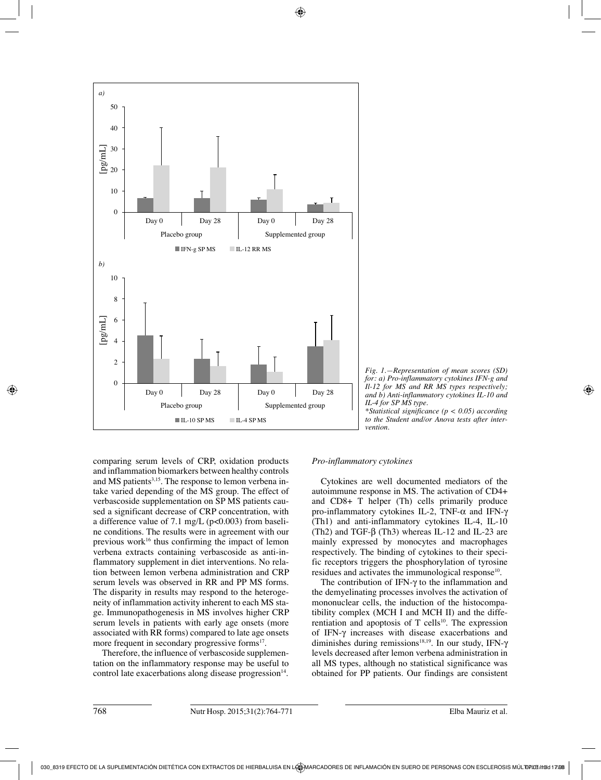



*\*Statistical significance (p < 0.05) according to the Student and/or Anova tests after intervention.*

comparing serum levels of CRP, oxidation products and inflammation biomarkers between healthy controls and MS patients<sup>3,15</sup>. The response to lemon verbena intake varied depending of the MS group. The effect of verbascoside supplementation on SP MS patients caused a significant decrease of CRP concentration, with a difference value of 7.1 mg/L ( $p<0.003$ ) from baseline conditions. The results were in agreement with our previous work<sup>16</sup> thus confirming the impact of lemon verbena extracts containing verbascoside as anti-inflammatory supplement in diet interventions. No relation between lemon verbena administration and CRP serum levels was observed in RR and PP MS forms. The disparity in results may respond to the heterogeneity of inflammation activity inherent to each MS stage. Immunopathogenesis in MS involves higher CRP serum levels in patients with early age onsets (more associated with RR forms) compared to late age onsets more frequent in secondary progressive forms<sup>17</sup>.

Therefore, the influence of verbascoside supplementation on the inflammatory response may be useful to control late exacerbations along disease progression $14$ .

#### *Pro-inflammatory cytokines*

Cytokines are well documented mediators of the autoimmune response in MS. The activation of CD4+ and CD8+ T helper (Th) cells primarily produce pro-inflammatory cytokines IL-2, TNF-α and IFN-γ (Th1) and anti-inflammatory cytokines IL-4, IL-10 (Th2) and TGF- $\beta$  (Th3) whereas IL-12 and IL-23 are mainly expressed by monocytes and macrophages respectively. The binding of cytokines to their specific receptors triggers the phosphorylation of tyrosine residues and activates the immunological response<sup>10</sup>.

The contribution of IFN-γ to the inflammation and the demyelinating processes involves the activation of mononuclear cells, the induction of the histocompatibility complex (MCH I and MCH II) and the differentiation and apoptosis of  $T$  cells<sup>10</sup>. The expression of IFN-γ increases with disease exacerbations and diminishes during remissions<sup>18,19</sup>. In our study, IFN- $\gamma$ levels decreased after lemon verbena administration in all MS types, although no statistical significance was obtained for PP patients. Our findings are consistent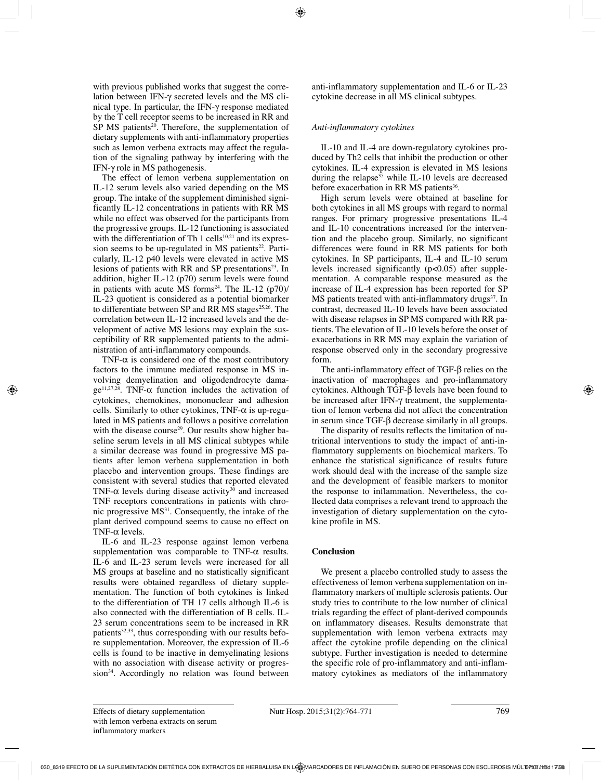with previous published works that suggest the correlation between IFN-γ secreted levels and the MS clinical type. In particular, the IFN-γ response mediated by the T cell receptor seems to be increased in RR and  $SP$  MS patients<sup>20</sup>. Therefore, the supplementation of dietary supplements with anti-inflammatory properties such as lemon verbena extracts may affect the regulation of the signaling pathway by interfering with the IFN-γ role in MS pathogenesis.

The effect of lemon verbena supplementation on IL-12 serum levels also varied depending on the MS group. The intake of the supplement diminished significantly IL-12 concentrations in patients with RR MS while no effect was observed for the participants from the progressive groups. IL-12 functioning is associated with the differentiation of Th 1 cells<sup>10,21</sup> and its expression seems to be up-regulated in MS patients $22$ . Particularly, IL-12 p40 levels were elevated in active MS lesions of patients with RR and SP presentations<sup>23</sup>. In addition, higher IL-12 (p70) serum levels were found in patients with acute MS forms<sup>24</sup>. The IL-12  $(p70)$ / IL-23 quotient is considered as a potential biomarker to differentiate between SP and RR  $MS$  stages<sup>25,26</sup>. The correlation between IL-12 increased levels and the development of active MS lesions may explain the susceptibility of RR supplemented patients to the administration of anti-inflammatory compounds.

TNF- $\alpha$  is considered one of the most contributory factors to the immune mediated response in MS involving demyelination and oligodendrocyte dama $ge^{11,27,28}$ . TNF- $\alpha$  function includes the activation of cytokines, chemokines, mononuclear and adhesion cells. Similarly to other cytokines,  $TNF-\alpha$  is up-regulated in MS patients and follows a positive correlation with the disease course<sup>29</sup>. Our results show higher baseline serum levels in all MS clinical subtypes while a similar decrease was found in progressive MS patients after lemon verbena supplementation in both placebo and intervention groups. These findings are consistent with several studies that reported elevated TNF- $\alpha$  levels during disease activity<sup>30</sup> and increased TNF receptors concentrations in patients with chronic progressive MS31. Consequently, the intake of the plant derived compound seems to cause no effect on TNF-α levels.

IL-6 and IL-23 response against lemon verbena supplementation was comparable to TNF- $\alpha$  results. IL-6 and IL-23 serum levels were increased for all MS groups at baseline and no statistically significant results were obtained regardless of dietary supplementation. The function of both cytokines is linked to the differentiation of TH 17 cells although IL-6 is also connected with the differentiation of B cells. IL-23 serum concentrations seem to be increased in RR patients<sup>32,33</sup>, thus corresponding with our results before supplementation. Moreover, the expression of IL-6 cells is found to be inactive in demyelinating lesions with no association with disease activity or progression<sup>34</sup>. Accordingly no relation was found between anti-inflammatory supplementation and IL-6 or IL-23 cytokine decrease in all MS clinical subtypes.

## *Anti-inflammatory cytokines*

IL-10 and IL-4 are down-regulatory cytokines produced by Th2 cells that inhibit the production or other cytokines. IL-4 expression is elevated in MS lesions during the relapse<sup>35</sup> while IL-10 levels are decreased before exacerbation in RR MS patients<sup>36</sup>.

High serum levels were obtained at baseline for both cytokines in all MS groups with regard to normal ranges. For primary progressive presentations IL-4 and IL-10 concentrations increased for the intervention and the placebo group. Similarly, no significant differences were found in RR MS patients for both cytokines. In SP participants, IL-4 and IL-10 serum levels increased significantly  $(p<0.05)$  after supplementation. A comparable response measured as the increase of IL-4 expression has been reported for SP  $MS$  patients treated with anti-inflammatory drugs $37$ . In contrast, decreased IL-10 levels have been associated with disease relapses in SP MS compared with RR patients. The elevation of IL-10 levels before the onset of exacerbations in RR MS may explain the variation of response observed only in the secondary progressive form.

The anti-inflammatory effect of TGF-β relies on the inactivation of macrophages and pro-inflammatory cytokines. Although TGF-β levels have been found to be increased after IFN-γ treatment, the supplementation of lemon verbena did not affect the concentration in serum since TGF-β decrease similarly in all groups.

The disparity of results reflects the limitation of nutritional interventions to study the impact of anti-inflammatory supplements on biochemical markers. To enhance the statistical significance of results future work should deal with the increase of the sample size and the development of feasible markers to monitor the response to inflammation. Nevertheless, the collected data comprises a relevant trend to approach the investigation of dietary supplementation on the cytokine profile in MS.

# **Conclusion**

We present a placebo controlled study to assess the effectiveness of lemon verbena supplementation on inflammatory markers of multiple sclerosis patients. Our study tries to contribute to the low number of clinical trials regarding the effect of plant-derived compounds on inflammatory diseases. Results demonstrate that supplementation with lemon verbena extracts may affect the cytokine profile depending on the clinical subtype. Further investigation is needed to determine the specific role of pro-inflammatory and anti-inflammatory cytokines as mediators of the inflammatory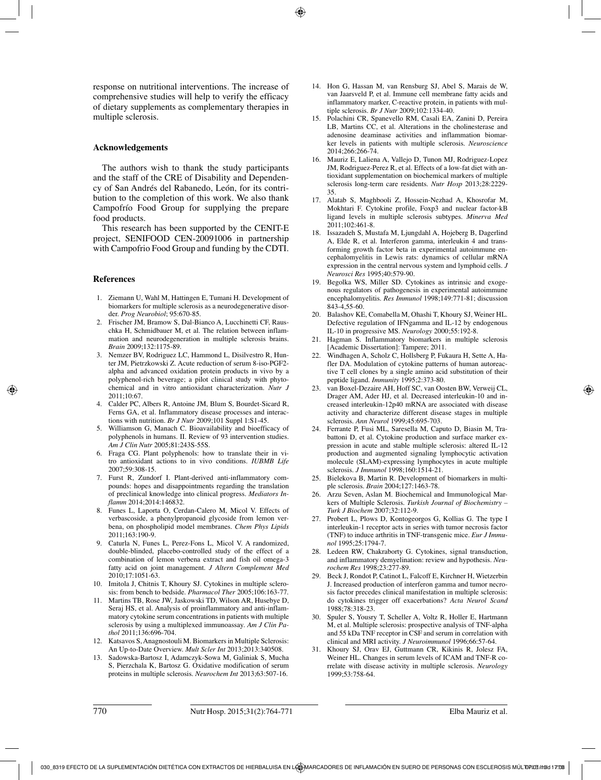response on nutritional interventions. The increase of comprehensive studies will help to verify the efficacy of dietary supplements as complementary therapies in multiple sclerosis.

#### **Acknowledgements**

The authors wish to thank the study participants and the staff of the CRE of Disability and Dependency of San Andrés del Rabanedo, León, for its contribution to the completion of this work. We also thank Campofrío Food Group for supplying the prepare food products.

This research has been supported by the CENIT-E project, SENIFOOD CEN-20091006 in partnership with Campofrio Food Group and funding by the CDTI.

#### **References**

- 1. Ziemann U, Wahl M, Hattingen E, Tumani H. Development of biomarkers for multiple sclerosis as a neurodegenerative disorder. *Prog Neurobiol*; 95:670-85.
- 2. Frischer JM, Bramow S, Dal-Bianco A, Lucchinetti CF, Rauschka H, Schmidbauer M, et al. The relation between inflammation and neurodegeneration in multiple sclerosis brains. *Brain* 2009;132:1175-89.
- 3. Nemzer BV, Rodriguez LC, Hammond L, Disilvestro R, Hunter JM, Pietrzkowski Z. Acute reduction of serum 8-iso-PGF2 alpha and advanced oxidation protein products in vivo by a polyphenol-rich beverage; a pilot clinical study with phytochemical and in vitro antioxidant characterization. *Nutr J* 2011;10:67.
- 4. Calder PC, Albers R, Antoine JM, Blum S, Bourdet-Sicard R, Ferns GA, et al. Inflammatory disease processes and interactions with nutrition. *Br J Nutr* 2009;101 Suppl 1:S1-45.
- 5. Williamson G, Manach C. Bioavailability and bioefficacy of polyphenols in humans. II. Review of 93 intervention studies. *Am J Clin Nutr* 2005;81:243S-55S.
- 6. Fraga CG. Plant polyphenols: how to translate their in vitro antioxidant actions to in vivo conditions. *IUBMB Life* 2007;59:308-15.
- 7. Furst R, Zundorf I. Plant-derived anti-inflammatory compounds: hopes and disappointments regarding the translation of preclinical knowledge into clinical progress. *Mediators Inflamm* 2014;2014:146832.
- 8. Funes L, Laporta O, Cerdan-Calero M, Micol V. Effects of verbascoside, a phenylpropanoid glycoside from lemon verbena, on phospholipid model membranes. *Chem Phys Lipids* 2011;163:190-9.
- 9. Caturla N, Funes L, Perez-Fons L, Micol V. A randomized, double-blinded, placebo-controlled study of the effect of a combination of lemon verbena extract and fish oil omega-3 fatty acid on joint management. *J Altern Complement Med* 2010;17:1051-63.
- 10. Imitola J, Chitnis T, Khoury SJ. Cytokines in multiple sclerosis: from bench to bedside. *Pharmacol Ther* 2005;106:163-77.
- 11. Martins TB, Rose JW, Jaskowski TD, Wilson AR, Husebye D, Seraj HS, et al. Analysis of proinflammatory and anti-inflammatory cytokine serum concentrations in patients with multiple sclerosis by using a multiplexed immunoassay. *Am J Clin Pathol* 2011;136:696-704.
- 12. Katsavos S, Anagnostouli M. Biomarkers in Multiple Sclerosis: An Up-to-Date Overview. *Mult Scler Int* 2013;2013:340508.
- 13. Sadowska-Bartosz I, Adamczyk-Sowa M, Galiniak S, Mucha S, Pierzchala K, Bartosz G. Oxidative modification of serum proteins in multiple sclerosis. *Neurochem Int* 2013;63:507-16.
- 14. Hon G, Hassan M, van Rensburg SJ, Abel S, Marais de W, van Jaarsveld P, et al. Immune cell membrane fatty acids and inflammatory marker, C-reactive protein, in patients with multiple sclerosis. *Br J Nutr* 2009;102:1334-40.
- 15. Polachini CR, Spanevello RM, Casali EA, Zanini D, Pereira LB, Martins CC, et al. Alterations in the cholinesterase and adenosine deaminase activities and inflammation biomarker levels in patients with multiple sclerosis. *Neuroscience* 2014;266:266-74.
- 16. Mauriz E, Laliena A, Vallejo D, Tunon MJ, Rodriguez-Lopez JM, Rodriguez-Perez R, et al. Effects of a low-fat diet with antioxidant supplementation on biochemical markers of multiple sclerosis long-term care residents. *Nutr Hosp* 2013;28:2229- 35.
- 17. Alatab S, Maghbooli Z, Hossein-Nezhad A, Khosrofar M, Mokhtari F. Cytokine profile, Foxp3 and nuclear factor-kB ligand levels in multiple sclerosis subtypes. *Minerva Med* 2011;102:461-8.
- 18. Issazadeh S, Mustafa M, Ljungdahl A, Hojeberg B, Dagerlind A, Elde R, et al. Interferon gamma, interleukin 4 and transforming growth factor beta in experimental autoimmune encephalomyelitis in Lewis rats: dynamics of cellular mRNA expression in the central nervous system and lymphoid cells. *J Neurosci Res* 1995;40:579-90.
- 19. Begolka WS, Miller SD. Cytokines as intrinsic and exogenous regulators of pathogenesis in experimental autoimmune encephalomyelitis. *Res Immunol* 1998;149:771-81; discussion 843-4,55-60.
- 20. Balashov KE, Comabella M, Ohashi T, Khoury SJ, Weiner HL. Defective regulation of IFNgamma and IL-12 by endogenous IL-10 in progressive MS. *Neurology* 2000;55:192-8.
- 21. Hagman S. Inflammatory biomarkers in multiple sclerosis [Academic Dissertation]: Tampere; 2011.
- 22. Windhagen A, Scholz C, Hollsberg P, Fukaura H, Sette A, Hafler DA. Modulation of cytokine patterns of human autoreactive T cell clones by a single amino acid substitution of their peptide ligand. *Immunity* 1995;2:373-80.
- 23. van Boxel-Dezaire AH, Hoff SC, van Oosten BW, Verweij CL, Drager AM, Ader HJ, et al. Decreased interleukin-10 and increased interleukin-12p40 mRNA are associated with disease activity and characterize different disease stages in multiple sclerosis. *Ann Neurol* 1999;45:695-703.
- 24. Ferrante P, Fusi ML, Saresella M, Caputo D, Biasin M, Trabattoni D, et al. Cytokine production and surface marker expression in acute and stable multiple sclerosis: altered IL-12 production and augmented signaling lymphocytic activation molecule (SLAM)-expressing lymphocytes in acute multiple sclerosis. *J Immunol* 1998;160:1514-21.
- 25. Bielekova B, Martin R. Development of biomarkers in multiple sclerosis. *Brain* 2004;127:1463-78.
- 26. Arzu Seven, Aslan M. Biochemical and Immunological Markers of Multiple Sclerosis. *Turkish Journal of Biochemistry – Turk J Biochem* 2007;32:112-9.
- 27. Probert L, Plows D, Kontogeorgos G, Kollias G. The type I interleukin-1 receptor acts in series with tumor necrosis factor (TNF) to induce arthritis in TNF-transgenic mice. *Eur J Immunol* 1995;25:1794-7.
- 28. Ledeen RW, Chakraborty G. Cytokines, signal transduction, and inflammatory demyelination: review and hypothesis. *Neurochem Res* 1998;23:277-89.
- 29. Beck J, Rondot P, Catinot L, Falcoff E, Kirchner H, Wietzerbin J. Increased production of interferon gamma and tumor necrosis factor precedes clinical manifestation in multiple sclerosis: do cytokines trigger off exacerbations? *Acta Neurol Scand* 1988;78:318-23.
- 30. Spuler S, Yousry T, Scheller A, Voltz R, Holler E, Hartmann M, et al. Multiple sclerosis: prospective analysis of TNF-alpha and 55 kDa TNF receptor in CSF and serum in correlation with clinical and MRI activity. *J Neuroimmunol* 1996;66:57-64.
- 31. Khoury SJ, Orav EJ, Guttmann CR, Kikinis R, Jolesz FA, Weiner HL. Changes in serum levels of ICAM and TNF-R correlate with disease activity in multiple sclerosis. *Neurology* 1999;53:758-64.